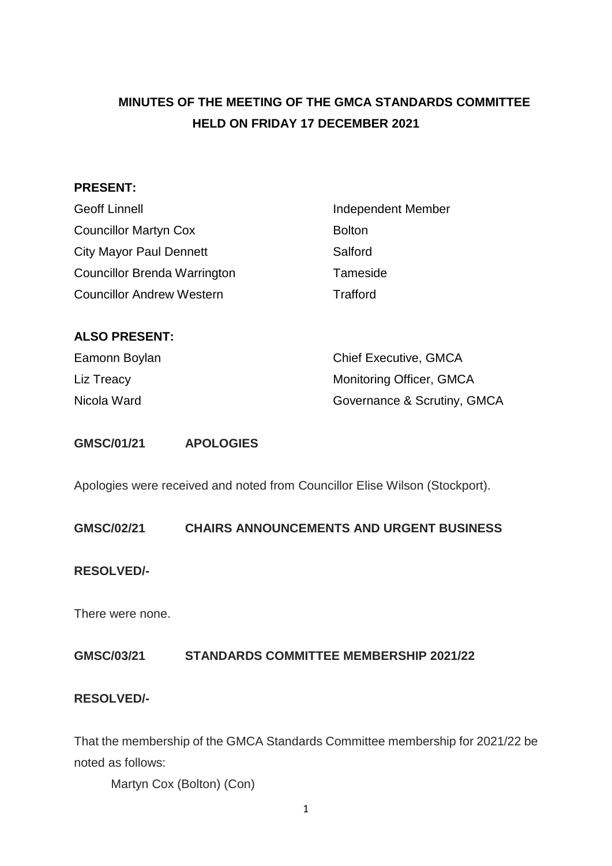## **MINUTES OF THE MEETING OF THE GMCA STANDARDS COMMITTEE HELD ON FRIDAY 17 DECEMBER 2021**

### **PRESENT:**

| <b>Geoff Linnell</b>                | <b>Independent Member</b> |
|-------------------------------------|---------------------------|
| <b>Councillor Martyn Cox</b>        | <b>Bolton</b>             |
| <b>City Mayor Paul Dennett</b>      | Salford                   |
| <b>Councillor Brenda Warrington</b> | Tameside                  |
| <b>Councillor Andrew Western</b>    | Trafford                  |

#### **ALSO PRESENT:**

| Eamonn Boylan | <b>Chief Executive, GMCA</b> |
|---------------|------------------------------|
| Liz Treacy    | Monitoring Officer, GMCA     |
| Nicola Ward   | Governance & Scrutiny, GMCA  |

#### **GMSC/01/21 APOLOGIES**

Apologies were received and noted from Councillor Elise Wilson (Stockport).

**GMSC/02/21 CHAIRS ANNOUNCEMENTS AND URGENT BUSINESS**

#### **RESOLVED/-**

There were none.

### **GMSC/03/21 STANDARDS COMMITTEE MEMBERSHIP 2021/22**

### **RESOLVED/-**

That the membership of the GMCA Standards Committee membership for 2021/22 be noted as follows:

Martyn Cox (Bolton) (Con)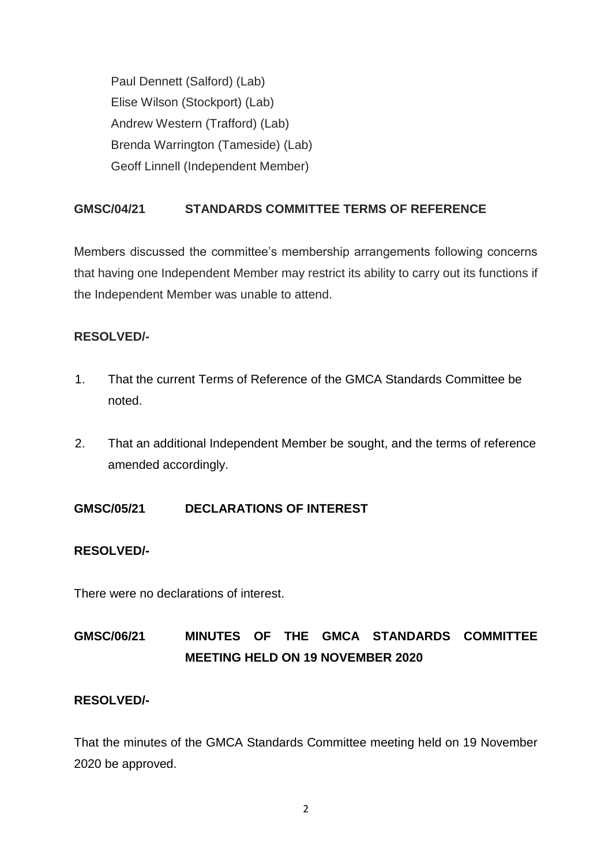Paul Dennett (Salford) (Lab) Elise Wilson (Stockport) (Lab) Andrew Western (Trafford) (Lab) Brenda Warrington (Tameside) (Lab) Geoff Linnell (Independent Member)

## **GMSC/04/21 STANDARDS COMMITTEE TERMS OF REFERENCE**

Members discussed the committee's membership arrangements following concerns that having one Independent Member may restrict its ability to carry out its functions if the Independent Member was unable to attend.

## **RESOLVED/-**

- 1. That the current Terms of Reference of the GMCA Standards Committee be noted.
- 2. That an additional Independent Member be sought, and the terms of reference amended accordingly.

**GMSC/05/21 DECLARATIONS OF INTEREST**

### **RESOLVED/-**

There were no declarations of interest.

# **GMSC/06/21 MINUTES OF THE GMCA STANDARDS COMMITTEE MEETING HELD ON 19 NOVEMBER 2020**

### **RESOLVED/-**

That the minutes of the GMCA Standards Committee meeting held on 19 November 2020 be approved.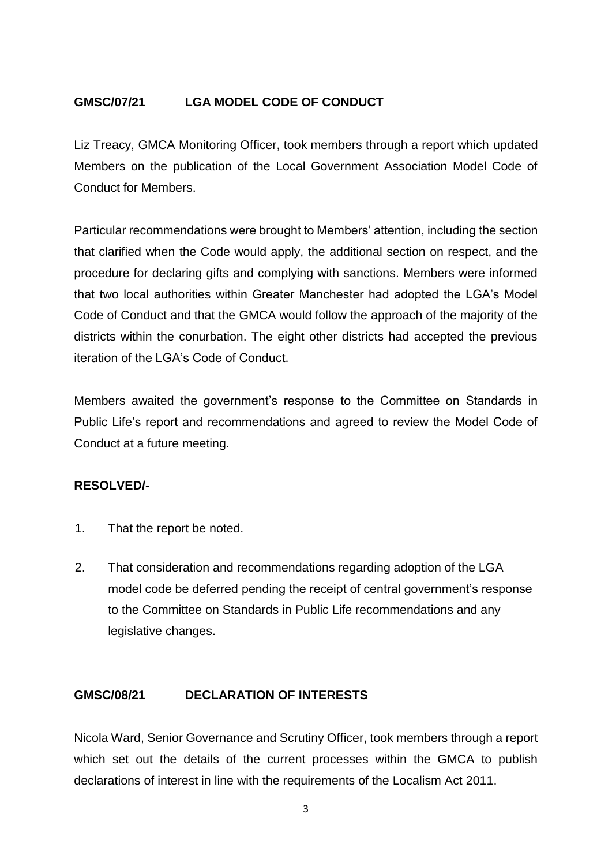## **GMSC/07/21 LGA MODEL CODE OF CONDUCT**

Liz Treacy, GMCA Monitoring Officer, took members through a report which updated Members on the publication of the Local Government Association Model Code of Conduct for Members.

Particular recommendations were brought to Members' attention, including the section that clarified when the Code would apply, the additional section on respect, and the procedure for declaring gifts and complying with sanctions. Members were informed that two local authorities within Greater Manchester had adopted the LGA's Model Code of Conduct and that the GMCA would follow the approach of the majority of the districts within the conurbation. The eight other districts had accepted the previous iteration of the LGA's Code of Conduct.

Members awaited the government's response to the Committee on Standards in Public Life's report and recommendations and agreed to review the Model Code of Conduct at a future meeting.

### **RESOLVED/-**

- 1. That the report be noted.
- 2. That consideration and recommendations regarding adoption of the LGA model code be deferred pending the receipt of central government's response to the Committee on Standards in Public Life recommendations and any legislative changes.

#### **GMSC/08/21 DECLARATION OF INTERESTS**

Nicola Ward, Senior Governance and Scrutiny Officer, took members through a report which set out the details of the current processes within the GMCA to publish declarations of interest in line with the requirements of the Localism Act 2011.